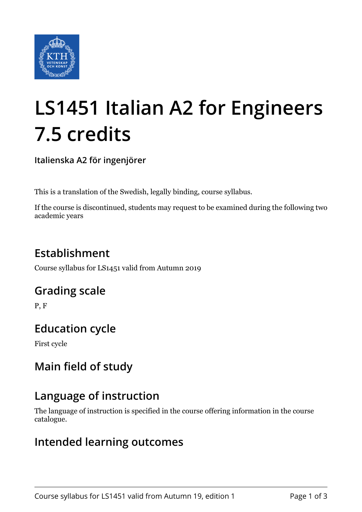

# **LS1451 Italian A2 for Engineers 7.5 credits**

**Italienska A2 för ingenjörer**

This is a translation of the Swedish, legally binding, course syllabus.

If the course is discontinued, students may request to be examined during the following two academic years

# **Establishment**

Course syllabus for LS1451 valid from Autumn 2019

## **Grading scale**

P, F

## **Education cycle**

First cycle

# **Main field of study**

## **Language of instruction**

The language of instruction is specified in the course offering information in the course catalogue.

## **Intended learning outcomes**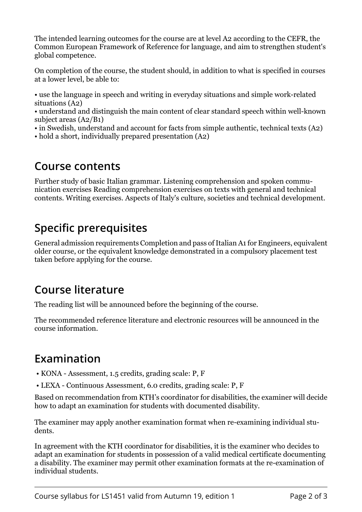The intended learning outcomes for the course are at level A2 according to the CEFR, the Common European Framework of Reference for language, and aim to strengthen student's global competence.

On completion of the course, the student should, in addition to what is specified in courses at a lower level, be able to:

• use the language in speech and writing in everyday situations and simple work-related situations (A2)

• understand and distinguish the main content of clear standard speech within well-known subject areas (A2/B1)

- in Swedish, understand and account for facts from simple authentic, technical texts (A2)
- hold a short, individually prepared presentation (A2)

#### **Course contents**

Further study of basic Italian grammar. Listening comprehension and spoken communication exercises Reading comprehension exercises on texts with general and technical contents. Writing exercises. Aspects of Italy's culture, societies and technical development.

## **Specific prerequisites**

General admission requirements Completion and pass of Italian A1 for Engineers, equivalent older course, or the equivalent knowledge demonstrated in a compulsory placement test taken before applying for the course.

## **Course literature**

The reading list will be announced before the beginning of the course.

The recommended reference literature and electronic resources will be announced in the course information.

## **Examination**

- KONA Assessment, 1.5 credits, grading scale: P, F
- LEXA Continuous Assessment, 6.0 credits, grading scale: P, F

Based on recommendation from KTH's coordinator for disabilities, the examiner will decide how to adapt an examination for students with documented disability.

The examiner may apply another examination format when re-examining individual students.

In agreement with the KTH coordinator for disabilities, it is the examiner who decides to adapt an examination for students in possession of a valid medical certificate documenting a disability. The examiner may permit other examination formats at the re-examination of individual students.